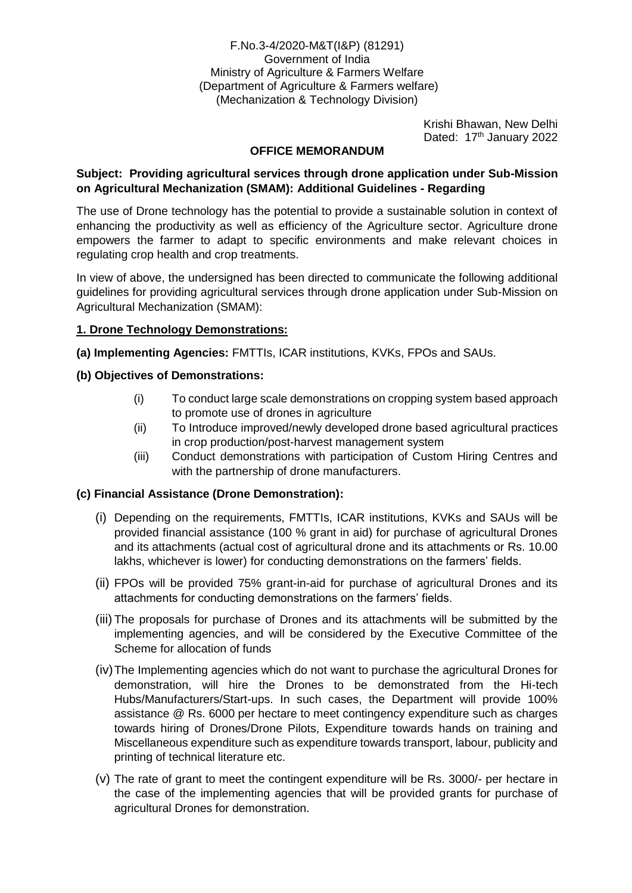F.No.3-4/2020-M&T(I&P) (81291) Government of India Ministry of Agriculture & Farmers Welfare (Department of Agriculture & Farmers welfare) (Mechanization & Technology Division)

> Krishi Bhawan, New Delhi Dated: 17<sup>th</sup> January 2022

### **OFFICE MEMORANDUM**

### **Subject: Providing agricultural services through drone application under Sub-Mission on Agricultural Mechanization (SMAM): Additional Guidelines - Regarding**

The use of Drone technology has the potential to provide a sustainable solution in context of enhancing the productivity as well as efficiency of the Agriculture sector. Agriculture drone empowers the farmer to adapt to specific environments and make relevant choices in regulating crop health and crop treatments.

In view of above, the undersigned has been directed to communicate the following additional guidelines for providing agricultural services through drone application under Sub-Mission on Agricultural Mechanization (SMAM):

# **1. Drone Technology Demonstrations:**

**(a) Implementing Agencies:** FMTTIs, ICAR institutions, KVKs, FPOs and SAUs.

# **(b) Objectives of Demonstrations:**

- (i) To conduct large scale demonstrations on cropping system based approach to promote use of drones in agriculture
- (ii) To Introduce improved/newly developed drone based agricultural practices in crop production/post-harvest management system
- (iii) Conduct demonstrations with participation of Custom Hiring Centres and with the partnership of drone manufacturers.

### **(c) Financial Assistance (Drone Demonstration):**

- (i) Depending on the requirements, FMTTIs, ICAR institutions, KVKs and SAUs will be provided financial assistance (100 % grant in aid) for purchase of agricultural Drones and its attachments (actual cost of agricultural drone and its attachments or Rs. 10.00 lakhs, whichever is lower) for conducting demonstrations on the farmers' fields.
- (ii) FPOs will be provided 75% grant-in-aid for purchase of agricultural Drones and its attachments for conducting demonstrations on the farmers' fields.
- (iii) The proposals for purchase of Drones and its attachments will be submitted by the implementing agencies, and will be considered by the Executive Committee of the Scheme for allocation of funds
- (iv)The Implementing agencies which do not want to purchase the agricultural Drones for demonstration, will hire the Drones to be demonstrated from the Hi-tech Hubs/Manufacturers/Start-ups. In such cases, the Department will provide 100% assistance @ Rs. 6000 per hectare to meet contingency expenditure such as charges towards hiring of Drones/Drone Pilots, Expenditure towards hands on training and Miscellaneous expenditure such as expenditure towards transport, labour, publicity and printing of technical literature etc.
- (v) The rate of grant to meet the contingent expenditure will be Rs. 3000/- per hectare in the case of the implementing agencies that will be provided grants for purchase of agricultural Drones for demonstration.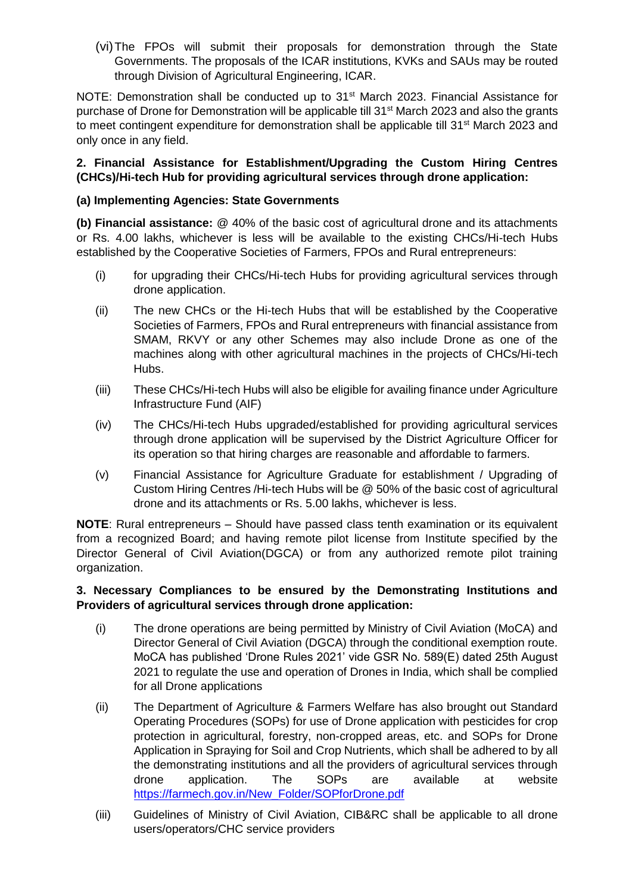(vi)The FPOs will submit their proposals for demonstration through the State Governments. The proposals of the ICAR institutions, KVKs and SAUs may be routed through Division of Agricultural Engineering, ICAR.

NOTE: Demonstration shall be conducted up to 31<sup>st</sup> March 2023. Financial Assistance for purchase of Drone for Demonstration will be applicable till 31<sup>st</sup> March 2023 and also the grants to meet contingent expenditure for demonstration shall be applicable till 31<sup>st</sup> March 2023 and only once in any field.

# **2. Financial Assistance for Establishment/Upgrading the Custom Hiring Centres (CHCs)/Hi-tech Hub for providing agricultural services through drone application:**

# **(a) Implementing Agencies: State Governments**

**(b) Financial assistance:** @ 40% of the basic cost of agricultural drone and its attachments or Rs. 4.00 lakhs, whichever is less will be available to the existing CHCs/Hi-tech Hubs established by the Cooperative Societies of Farmers, FPOs and Rural entrepreneurs:

- (i) for upgrading their CHCs/Hi-tech Hubs for providing agricultural services through drone application.
- (ii) The new CHCs or the Hi-tech Hubs that will be established by the Cooperative Societies of Farmers, FPOs and Rural entrepreneurs with financial assistance from SMAM, RKVY or any other Schemes may also include Drone as one of the machines along with other agricultural machines in the projects of CHCs/Hi-tech Hubs.
- (iii) These CHCs/Hi-tech Hubs will also be eligible for availing finance under Agriculture Infrastructure Fund (AIF)
- (iv) The CHCs/Hi-tech Hubs upgraded/established for providing agricultural services through drone application will be supervised by the District Agriculture Officer for its operation so that hiring charges are reasonable and affordable to farmers.
- (v) Financial Assistance for Agriculture Graduate for establishment / Upgrading of Custom Hiring Centres /Hi-tech Hubs will be @ 50% of the basic cost of agricultural drone and its attachments or Rs. 5.00 lakhs, whichever is less.

**NOTE**: Rural entrepreneurs – Should have passed class tenth examination or its equivalent from a recognized Board; and having remote pilot license from Institute specified by the Director General of Civil Aviation(DGCA) or from any authorized remote pilot training organization.

# **3. Necessary Compliances to be ensured by the Demonstrating Institutions and Providers of agricultural services through drone application:**

- (i) The drone operations are being permitted by Ministry of Civil Aviation (MoCA) and Director General of Civil Aviation (DGCA) through the conditional exemption route. MoCA has published 'Drone Rules 2021' vide GSR No. 589(E) dated 25th August 2021 to regulate the use and operation of Drones in India, which shall be complied for all Drone applications
- (ii) The Department of Agriculture & Farmers Welfare has also brought out Standard Operating Procedures (SOPs) for use of Drone application with pesticides for crop protection in agricultural, forestry, non-cropped areas, etc. and SOPs for Drone Application in Spraying for Soil and Crop Nutrients, which shall be adhered to by all the demonstrating institutions and all the providers of agricultural services through drone application. The SOPs are available at website [https://farmech.gov.in/New\\_Folder/SOPforDrone.pdf](https://farmech.gov.in/New_Folder/SOPforDrone.pdf)
- (iii) Guidelines of Ministry of Civil Aviation, CIB&RC shall be applicable to all drone users/operators/CHC service providers